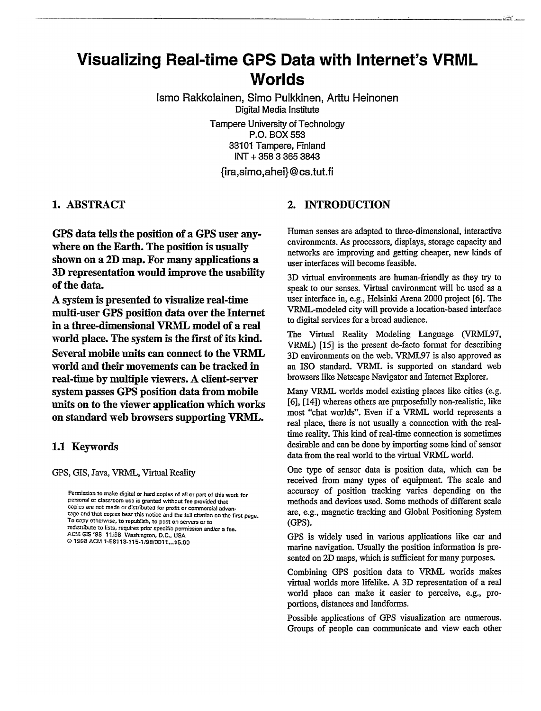# **Visualizing Real-time GPS Data with Internet's VRML Worlds**

**lsmo Rakkolainen, Simo Pulkkinen, Arttu Heinonen** Digital Media Institute Tampere University of Technology P.O. BOX553 33101 Tampere, Finland INT+ 35833653843

**~ra,simo,ahei}@ cs.tut.fi**

1. ABSTRACT

GPS data tells the position of a GPS user anywhere on the Earth. The position is usually shown on a 2D map. For many applications a 3D representation wouId improve the usabiIity of the data.

A system is presented to visualize real-time multi-user GPS position data over the Internet in a three-dimensional VRML model of a real world place. The system is the first of its kind. Several mobile units can connect to the VRML worId and their movements can be tracked in real-time by multiple viewers. A client-server system passes GPS position data from mobile units on to the viewer application which works on standard web browsers supporting VRML.

#### 1.1 Keywords

GPS, GIS, Java, VRML, Virtual Reality

Permission to make digital or hard copies of all or part of this work far personal or class toom use is granted without fee provided that copies are not made or distributed for profit or commercial advantage and that copies bear this notice and the full citation on the first page. To copy otherwise, to republish, to post on servers or to redistribute to lists, requires prior specific permission and/or a fee. ACM GE '98 17198 Washington, D.C., USA @ 1998 ACM 1-58113-115-1/98/0011...\$5.00

## 2. INTRODUCTION

Human senses are adapted to three-dimensional, interactive environments. As processors, displays, storage capacity and networks are improving and getting cheaper, new kinds of user interfaces will become feasible.

3D virtual environments are human-friendly as they try to speak to our senses. Virtual environment will be used as a user interface in, e.g., Helsinki Arena 2000 project [6]. The VRML-modeled city will provide a location-based interface to digital services for a broad audience.

The Virtual Reality Modeling Language (VRML97, VRML) [15] is the present de-facto format for describing 3D environments on the web. VRML97 is also approved as an 1S0 standard. VRML is supported on standard web browsers like Netscape Navigator and Internet Explorer.

Many VRML worlds model existing places like cities (e.g. [6], [14]) whereas others are purposefully non-realistic, like most "chat worlds". Even if a VRML world represents a real place, there is not usually a comection with the realtime reality. This kind of real-time connection is sometimes desirable and can be done by importing some kind of sensor data from the real world to the virtual VRML world.

One type of sensor data is position data, which can be received from many types of equipment. The scale and accuracy of position tracking varies depending on the methods and devices used. Some methods of different scale are, e.g., magnetic tracking and Global Positioning System (GPS).

GPS is widely used in various applications like car and marine navigation. Usually the position information is presented on 2D maps, which is sufficient for many purposes.

Combining GPS position data to VRML worlds makes virtual worlds more lifelike. A 3D representation of a real world place can make it easier to perceive, e.g., proportions, distances and Iandforrns.

Possible applications of GPS visualization are numerous. Groups of people can communicate and view each other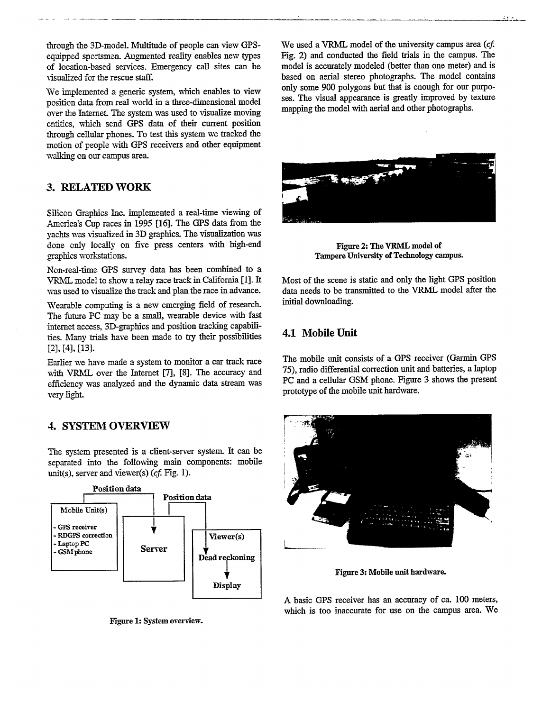through the 3D-model. Multitude of people can view GPSequipped sportsmen. Augmented reality enables new types of location-based services. Emergency call sites can be visualized for the rescue staff.

We implemented a generic system, which enables to view position data from real world in a three-dmensional model over the InterneL The system was used to visualize moving entities, which send GPS data of their current position through cellular phones. To test this system we tracked the motion of people with GPS receivers and other equipment walking on our campus area

#### 3. RELATED WORK

Silicon Graphics Inc. implemented a real-time viewing of America's Cup races in 1995 [16]. The GPS data from the yachts was visualized in 3D graphics. The visualization was done only locally on five press centers with high-end graphics workstations.

Non-real-time GPS survey data has been combined to a VRML model to show a relay race track in California [1]. It was used to visualize the track and plan the race in advance.

Wearable computing is a new emerging field of reseach. The future PC may be a small, wearable device with fast internet access, 3D-graphics and position tracking capabilities. Many trials have been made to try their possibilities [2], [4], [13].

Earlier we have made a system to monitor a car track race with VRML over the Internet [7], [8]. The accuracy and efficiency was analyzed and the dynamic data stream was very light.

#### 4. SYSTEM OVERVIEW

The system presented is a client-server system. It can be separated into the following main components: mobile unit(s), server and viewer(s) ( $cf.$  Fig. 1).



**Figure**1:System**owrview.**

We used a VRML model of the university campus area  $(cf.$ Fig. 2) and conducted the field tials in the campus. The model is accurately modeled (better than one meter) and is based on aerial stereo photographs. The model contains only some 900 polygons but that is enough for our purposes. The visual appearance is greatly improved by texture mapping the model with aerial and other photographs.



Figure 2: The VRML model of Tampere UniversityofTechnology**campus.**

Most of the scene is static and only the light GPS position data needs to be transmitted to the VRML model after the initial downloading.

#### 4.1 Mobile Unit

The mobile unit consists of a GPS receiver (Garmin GPS 75), radio differential correction unit and batteries, a laptop PC and a cellular GSM phone. Figure 3 shows the present prototype of the mobile unit hardware.



Figure 3: Mobile unit hardware.

A basic GPS receiver has an accuracy of ca. 100 meters, which is too inaccurate for use on the campus area. We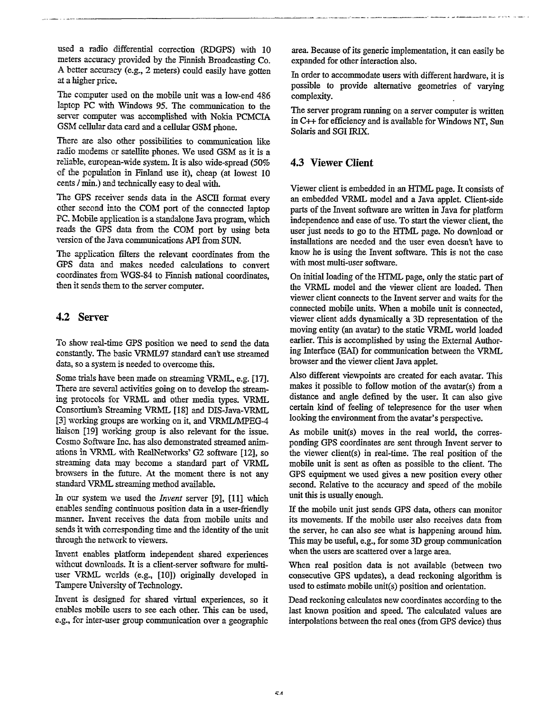used a radio differential correction (RDGPS) with 10 meters accuracy provided by the Finnish Broadcasting Co. A better accuracy (e.g., 2 meters) could easily have gotten at a higher price.

The computer used on the mobile unit was a low-end 486 laptop PC with Windows 95. The communication to the server computer was accomplished with Nokia PCMCIA GSM cellular data card and a cellular GSM phone.

There are also other possibilities to communication like radio modems or satelIite phones. We used GSM as it is a reliable, european-wide system. It is also wide-spread (50% of the population in Finland use it), cheap (at lowest 10 cents  $\ell$  min.) and technically easy to deal with.

The GPS receiver sends data in the ASCII format every other second into the COM port of the connected laptop PC. Mobile application is a standalone Java program, which reads the GPS data from the COM port by using beta version of the Java communications API from SUN.

The application filters the relevant coordinates from the GPS data and makes needed calculations to convert coordinates from WGS-84 to Finnish national coordinates, then it sends them to the server computer.

## 4.2 Server

To show real-time GPS position we need to send the data constantly. The basic VRML97 standard can't use streamed data, so a system is needed to overcome this.

Some trials have been made on streaming VRML, e.g. [171. There are several activities going on to develop the streaming protocols for VRML and other media types. VRML Consortium's Streaming VRML [18] and DIS-Java-VRML [3] working groups are working on it, and VRML/MPEG-4 liaison [19] working group is also relevant for the issue. Cosmo Software Inc. has also demonstrated streamed animations in VRML with RealNetworks' G2 software [12], so streaming data may become a standard part of VRML browsers in the future. At the moment there is not any standard VRML streaming method available.

In our system we used the *Invent* server [9], [11] which enables sending continuous position data in a user-friendly manner. Invent receives the data from mobile units and sends it with corresponding time and the identity of the unit through the network to viewers.

Invent enables platform independent shared experiences without downloads. It is a client-server software for multiuser VRML worlds (e.g., [10]) originally developed in Tampere University of Technology.

Invent is designed for shared virtual experiences, so it enables mobile users to see each other. This can be used, e.g., for inter-user group communication over a geographic area. Because of its generic implementation, it can easily be expanded for other interaction also.

.<br>All change show and changes a control in comparation compared distinct a strategies and the same of the compar

In order to accommodate users with different hardware, it is possible to provide alternative geometries of varying complexity.

The server program running on a server computer is written in C++ for efficiency and is available for Windows NT, Sun Solaris and SGI IRIX.

# 4.3 Viewer Client

Viewer client is embedded in an HTML page. It consists of an embedded VRML model and a Java applet. Client-side parts of the Invent software are written in Java for platform independence and ease of use. To start the viewer client, the user just needs to go to the HTML page. No download or installations are needed and the user even doesn't have to know he is using the Invent software. This is not the case with most multi-user software.

On initial loading of the HTML page, only the static part of the VRML model and the viewer client are loaded. Then viewer client connects to the Invent server and waits for the connected mobile units. When a mobile unit is connected, viewer client adds dynamically a 3D representation of the moving entity (an avatar) to the static VRML world loaded earlier. This is accomplished by using the External Authoring Interface (EAI) for communication between the VRML browser and the viewer client Java applet.

Also different viewpoints are created for each avatar. This makes it possible to follow motion of the avatar(s) from a distance and angle defined by the user. It can also give certain kind of feeling of telepresence for the user when looking the environment from the avatar's perspective.

As mobile unit(s) moves in the real world, the corresponding GPS coordinates are sent through Invent server to the viewer client(s) in real-time. The real position of the mobile unit is sent as often as possible to the client. The GPS equipment we used gives a new position every other second. Relative to the accuracy and speed of the mobile unit this is usually enough.

If the mobile unit just sends GPS data, others can monitor its movements. If the mobile user also receives data from the server, he can also see what is happening around him. This may be useful, e.g., for some 3D group communication when the users are scattered over a large area.

When real position data is not available (between two consecutive GPS updates), a dead reckoning algorithm is used to estimate mobile unit(s) position and orientation.

Dead reckoning calculates new coordinates according to the last known position and speed. The calculated vahes are interpolations between the real ones (from GPS device) thus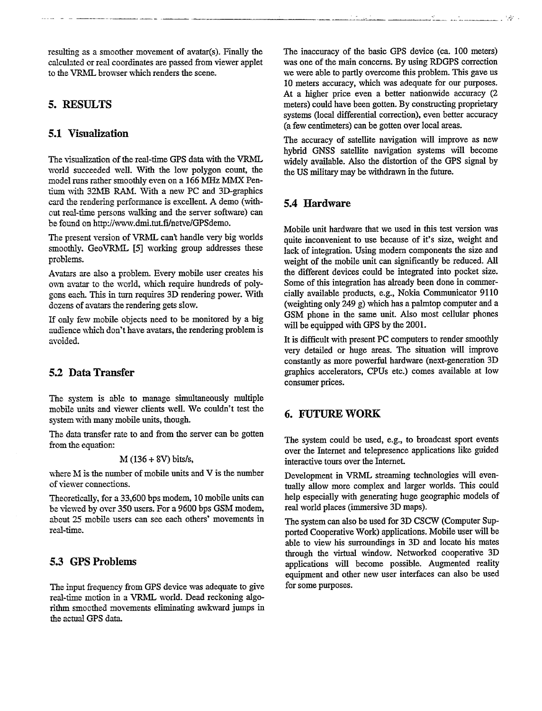resulting as a smoother movement of avatar(s). Finally the calculated or real coordinates are passed from viewer applet to the VRML browser which renders the scene.

# 5. RESULTS

#### 5.1 visualization

The visualization of the real-time GPS data with the VRML world succeeded well. With the low polygon count, the model runs rather smoothly even on a 166 MHz MMX Pentium with 32MB RAM. With a new PC and 3D-graphics card the rendering performance is excellent. A demo (without real-time persons walking and the server software) can be found on http://www.dmi.tut.fi/netve/GPSdemo.

The present version of VRML can't handle very big worlds smoothly. GeoVRML [5] working group addresses these problems.

Avatars are also a problem. Every mobile user creates his own avatar to the world, which require hundreds of polygons each. This in turn requires 3D rendering power. With dozens of avatars the rendering gets slow.

If only few mobile objects need to be monitored by a big audience which don't have avatars, the rendering problem is avoided.

#### 5.2 Data Transfer

The system is able to manage simultaneously multiple mobiie units and viewer clients well. We couldn't test the system with many mobile units, though.

The data transfer rate to and from the server can be gotten from the equatiom

#### hl (136+ SV) **bitsh,**

where  $M$  is the number of mobile units and  $V$  is the number of viewer connections.

Theoretically, for a 33,600 bps modem, 10 mobile units can be viewed by over 350 users. For a 9600 bps GSM modem, about 25 mobile users can see each others' movements in real-time.

#### 5.3 GPS Problems

The input frequency from GPS device was adequate to give real-time motion in a VRML world. Dead reckoning algorithm smoothed movements eliminating awkward jumps in the actual GPS data.

The inaccuracy of the basic GPS device (ea. 100 meters) was one of the main concerns. By using RDGPS correction we were able to partly overcome this problem. This gave us 10 meters accuracy, which was adequate for our purposes. At a higher price even a better nationwide accuracy (2 meters) could have been gotten. By constructing proprietary systems (local differential correction), even better accuracy (a few centimeters) can be gotten over local areas.

The accuracy of satellite navigation will improve as new hybrid GNSS satellite navigation systems will become widely available. Also the distortion of the GPS signal by the US military may be withdrawn in the future.

## 5.4 Hardware

Mobile unit hardware that we used in this test version was quite inconvenient to use because of it's size, weight and lack of integration. Using modem components the size and weight of the mobile unit can significantly be reduced. All the different devices could be integrated into pocket size. Some of this integration has already been done in commercially available products, e.g., Nokia Communicator 9110 (weighting only 249 g) which has a pahntop computer and a GSM phone in the same unit. Also most cellular phones will be equipped with GPS by the 2001.

It is difficult with present PC computers to render smoothly very detailed or huge areas. The situation will improve constantly as more powerful hardware (next-generation 3D graphics accelerators, CPUS etc.) comes available at low consumer prices.

## **6. FUTURE** WORK

The system could be used, e.g., to broadcast sport events over the Internet and telepresence applications like guided interactive tours over the Internet.

Development in VRML streaming technologies will eventually allow more complex and larger worlds. This could help especially with generating huge geographic models of real world places (immersive 3D maps).

The system can also be used for 3D CSCW (Computer Supported Cooperative Work) applications. Mobile user will be able to view his surroundings in 3D and locate his mates through the virtual window. Networked cooperative 3D applications will become possible. Augmented reality equipment and other new user interfaces can also be used for some purposes.